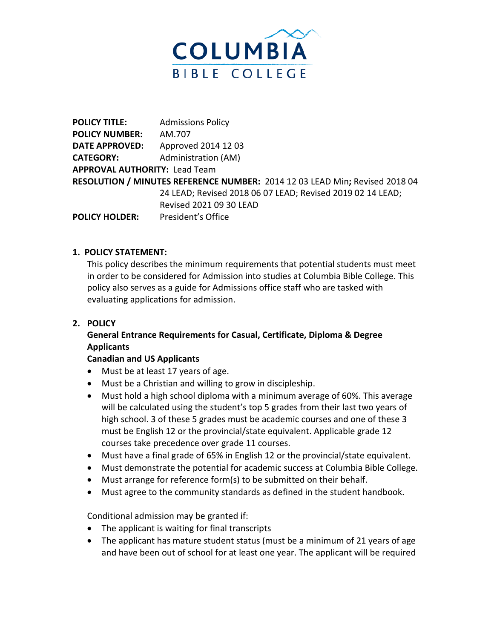

**POLICY TITLE:** Admissions Policy **POLICY NUMBER:** AM.707 **DATE APPROVED:** Approved 2014 12 03 **CATEGORY:** Administration (AM) **APPROVAL AUTHORITY:** Lead Team **RESOLUTION / MINUTES REFERENCE NUMBER:** 2014 12 03 LEAD Min**;** Revised 2018 04 24 LEAD; Revised 2018 06 07 LEAD; Revised 2019 02 14 LEAD; Revised 2021 09 30 LEAD **POLICY HOLDER:** President's Office

## **1. POLICY STATEMENT:**

This policy describes the minimum requirements that potential students must meet in order to be considered for Admission into studies at Columbia Bible College. This policy also serves as a guide for Admissions office staff who are tasked with evaluating applications for admission.

#### **2. POLICY**

# **General Entrance Requirements for Casual, Certificate, Diploma & Degree Applicants**

#### **Canadian and US Applicants**

- Must be at least 17 years of age.
- Must be a Christian and willing to grow in discipleship.
- Must hold a high school diploma with a minimum average of 60%. This average will be calculated using the student's top 5 grades from their last two years of high school. 3 of these 5 grades must be academic courses and one of these 3 must be English 12 or the provincial/state equivalent. Applicable grade 12 courses take precedence over grade 11 courses.
- Must have a final grade of 65% in English 12 or the provincial/state equivalent.
- Must demonstrate the potential for academic success at Columbia Bible College.
- Must arrange for reference form(s) to be submitted on their behalf.
- Must agree to the community standards as defined in the student handbook.

Conditional admission may be granted if:

- The applicant is waiting for final transcripts
- The applicant has mature student status (must be a minimum of 21 years of age and have been out of school for at least one year. The applicant will be required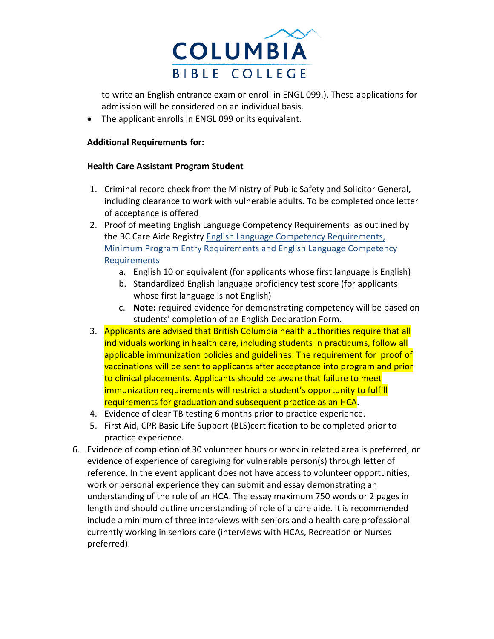

to write an English entrance exam or enroll in ENGL 099.). These applications for admission will be considered on an individual basis.

• The applicant enrolls in ENGL 099 or its equivalent.

### **Additional Requirements for:**

#### **Health Care Assistant Program Student**

- 1. Criminal record check from the Ministry of Public Safety and Solicitor General, including clearance to work with vulnerable adults. To be completed once letter of acceptance is offered
- 2. Proof of meeting English Language Competency Requirements as outlined by the BC Care Aide Registry [English Language Competency Requirements,](https://www.cachwr.bc.ca/Documents/Educators/English-Language-Competency_HCA-Program-Entry_2018.aspx) [Minimum Program Entry Requirements and English Language Competency](https://www.cachwr.bc.ca/Documents/Educators/English-Language-Competency_HCA-Program-Entry_2018.aspx)  [Requirements](https://www.cachwr.bc.ca/Documents/Educators/English-Language-Competency_HCA-Program-Entry_2018.aspx)
	- a. English 10 or equivalent (for applicants whose first language is English)
	- b. Standardized English language proficiency test score (for applicants whose first language is not English)
	- c. **Note:** required evidence for demonstrating competency will be based on students' completion of an English Declaration Form.
- 3. Applicants are advised that British Columbia health authorities require that all individuals working in health care, including students in practicums, follow all applicable immunization policies and guidelines. The requirement for proof of vaccinations will be sent to applicants after acceptance into program and prior to clinical placements. Applicants should be aware that failure to meet immunization requirements will restrict a student's opportunity to fulfill requirements for graduation and subsequent practice as an HCA.
- 4. Evidence of clear TB testing 6 months prior to practice experience.
- 5. First Aid, CPR Basic Life Support (BLS)certification to be completed prior to practice experience.
- 6. Evidence of completion of 30 volunteer hours or work in related area is preferred, or evidence of experience of caregiving for vulnerable person(s) through letter of reference. In the event applicant does not have access to volunteer opportunities, work or personal experience they can submit and essay demonstrating an understanding of the role of an HCA. The essay maximum 750 words or 2 pages in length and should outline understanding of role of a care aide. It is recommended include a minimum of three interviews with seniors and a health care professional currently working in seniors care (interviews with HCAs, Recreation or Nurses preferred).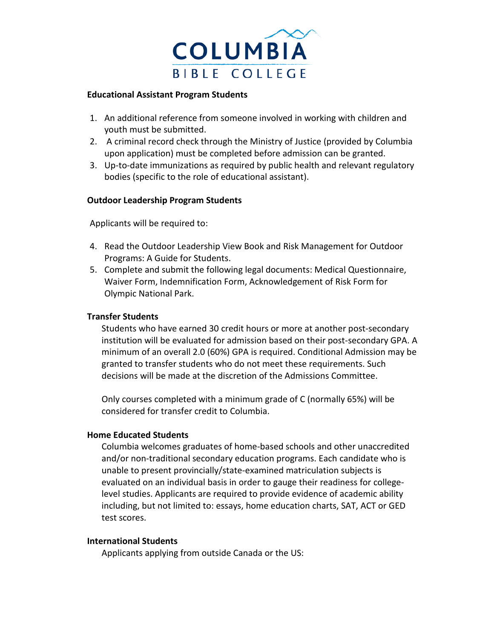

#### **Educational Assistant Program Students**

- 1. An additional reference from someone involved in working with children and youth must be submitted.
- 2. A criminal record check through the Ministry of Justice (provided by Columbia upon application) must be completed before admission can be granted.
- 3. Up-to-date immunizations as required by public health and relevant regulatory bodies (specific to the role of educational assistant).

## **Outdoor Leadership Program Students**

Applicants will be required to:

- 4. Read th[e Outdoor Leadership View Book](http://www.columbiabc.edu/document.doc?id=98) and Risk Management for Outdoor Programs: A Guide for Students.
- 5. Complete and submit the following legal documents: Medical Questionnaire, Waiver Form, Indemnification Form, Acknowledgement of Risk Form for Olympic National Park.

#### **Transfer Students**

Students who have earned 30 credit hours or more at another post-secondary institution will be evaluated for admission based on their post-secondary GPA. A minimum of an overall 2.0 (60%) GPA is required. Conditional Admission may be granted to transfer students who do not meet these requirements. Such decisions will be made at the discretion of the Admissions Committee.

Only courses completed with a minimum grade of C (normally 65%) will be considered for transfer credit to Columbia.

#### **Home Educated Students**

Columbia welcomes graduates of home-based schools and other unaccredited and/or non-traditional secondary education programs. Each candidate who is unable to present provincially/state-examined matriculation subjects is evaluated on an individual basis in order to gauge their readiness for collegelevel studies. Applicants are required to provide evidence of academic ability including, but not limited to: essays, home education charts, SAT, ACT or GED test scores.

#### **International Students**

Applicants applying from outside Canada or the US: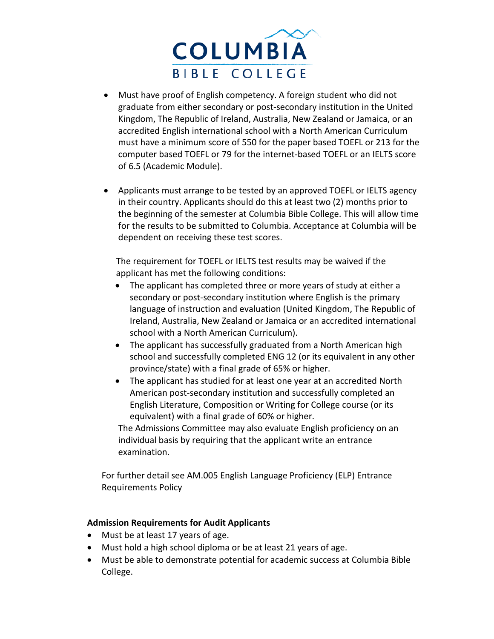

- Must have proof of English competency. A foreign student who did not graduate from either secondary or post-secondary institution in the United Kingdom, The Republic of Ireland, Australia, New Zealand or Jamaica, or an accredited English international school with a North American Curriculum must have a minimum score of 550 for the paper based TOEFL or 213 for the computer based TOEFL or 79 for the internet-based TOEFL or an IELTS score of 6.5 (Academic Module).
- Applicants must arrange to be tested by an approved TOEFL or IELTS agency in their country. Applicants should do this at least two (2) months prior to the beginning of the semester at Columbia Bible College. This will allow time for the results to be submitted to Columbia. Acceptance at Columbia will be dependent on receiving these test scores.

The requirement for TOEFL or IELTS test results may be waived if the applicant has met the following conditions:

- The applicant has completed three or more years of study at either a secondary or post-secondary institution where English is the primary language of instruction and evaluation (United Kingdom, The Republic of Ireland, Australia, New Zealand or Jamaica or an accredited international school with a North American Curriculum).
- The applicant has successfully graduated from a North American high school and successfully completed ENG 12 (or its equivalent in any other province/state) with a final grade of 65% or higher.
- The applicant has studied for at least one year at an accredited North American post-secondary institution and successfully completed an English Literature, Composition or Writing for College course (or its equivalent) with a final grade of 60% or higher.

The Admissions Committee may also evaluate English proficiency on an individual basis by requiring that the applicant write an entrance examination.

For further detail see AM.005 English Language Proficiency (ELP) Entrance Requirements Policy

#### **Admission Requirements for Audit Applicants**

- Must be at least 17 years of age.
- Must hold a high school diploma or be at least 21 years of age.
- Must be able to demonstrate potential for academic success at Columbia Bible College.